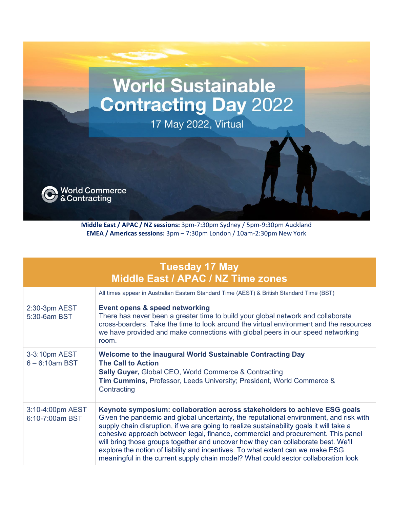## **World Sustainable Contracting Day 2022**

17 May 2022, Virtual

World Commerce<br>& Contracting

**Middle East / APAC / NZ sessions:** 3pm-7:30pm Sydney / 5pm-9:30pm Auckland **EMEA / Americas sessions:** 3pm – 7:30pm London / 10am-2:30pm New York

|                                     | <b>Tuesday 17 May</b><br>Middle East / APAC / NZ Time zones                                                                                                                                                                                                                                                                                                                                                                                                                                                                                                                                                     |
|-------------------------------------|-----------------------------------------------------------------------------------------------------------------------------------------------------------------------------------------------------------------------------------------------------------------------------------------------------------------------------------------------------------------------------------------------------------------------------------------------------------------------------------------------------------------------------------------------------------------------------------------------------------------|
|                                     | All times appear in Australian Eastern Standard Time (AEST) & British Standard Time (BST)                                                                                                                                                                                                                                                                                                                                                                                                                                                                                                                       |
| 2:30-3pm AEST<br>5:30-6am BST       | Event opens & speed networking<br>There has never been a greater time to build your global network and collaborate<br>cross-boarders. Take the time to look around the virtual environment and the resources<br>we have provided and make connections with global peers in our speed networking<br>room.                                                                                                                                                                                                                                                                                                        |
| 3-3:10pm AEST<br>$6 - 6:10$ am BST  | <b>Welcome to the inaugural World Sustainable Contracting Day</b><br><b>The Call to Action</b><br><b>Sally Guyer, Global CEO, World Commerce &amp; Contracting</b><br><b>Tim Cummins, Professor, Leeds University; President, World Commerce &amp;</b><br>Contracting                                                                                                                                                                                                                                                                                                                                           |
| 3:10-4:00pm AEST<br>6:10-7:00am BST | Keynote symposium: collaboration across stakeholders to achieve ESG goals<br>Given the pandemic and global uncertainty, the reputational environment, and risk with<br>supply chain disruption, if we are going to realize sustainability goals it will take a<br>cohesive approach between legal, finance, commercial and procurement. This panel<br>will bring those groups together and uncover how they can collaborate best. We'll<br>explore the notion of liability and incentives. To what extent can we make ESG<br>meaningful in the current supply chain model? What could sector collaboration look |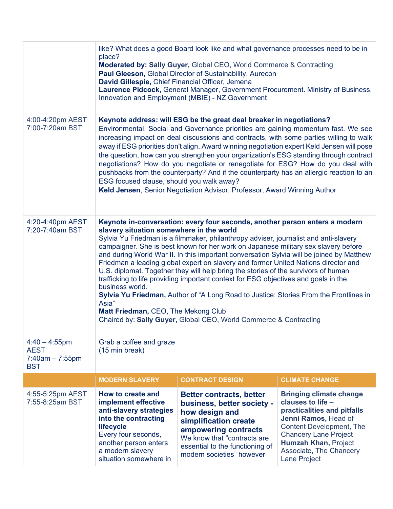|                                                                    | like? What does a good Board look like and what governance processes need to be in<br>place?<br>Moderated by: Sally Guyer, Global CEO, World Commerce & Contracting<br>Paul Gleeson, Global Director of Sustainability, Aurecon<br>David Gillespie, Chief Financial Officer, Jemena<br>Laurence Pidcock, General Manager, Government Procurement. Ministry of Business,<br>Innovation and Employment (MBIE) - NZ Government                                                                                                                                                                                                                                                                                                                                                                                                                                                                           |                                                                                                                                                                                                                                 |                                                                                                                                                                                                                                                                |  |
|--------------------------------------------------------------------|-------------------------------------------------------------------------------------------------------------------------------------------------------------------------------------------------------------------------------------------------------------------------------------------------------------------------------------------------------------------------------------------------------------------------------------------------------------------------------------------------------------------------------------------------------------------------------------------------------------------------------------------------------------------------------------------------------------------------------------------------------------------------------------------------------------------------------------------------------------------------------------------------------|---------------------------------------------------------------------------------------------------------------------------------------------------------------------------------------------------------------------------------|----------------------------------------------------------------------------------------------------------------------------------------------------------------------------------------------------------------------------------------------------------------|--|
| 4:00-4:20pm AEST<br>7:00-7:20am BST                                | Keynote address: will ESG be the great deal breaker in negotiations?<br>Environmental, Social and Governance priorities are gaining momentum fast. We see<br>increasing impact on deal discussions and contracts, with some parties willing to walk<br>away if ESG priorities don't align. Award winning negotiation expert Keld Jensen will pose<br>the question, how can you strengthen your organization's ESG standing through contract<br>negotiations? How do you negotiate or renegotiate for ESG? How do you deal with<br>pushbacks from the counterparty? And if the counterparty has an allergic reaction to an<br>ESG focused clause, should you walk away?<br>Keld Jensen, Senior Negotiation Advisor, Professor, Award Winning Author                                                                                                                                                    |                                                                                                                                                                                                                                 |                                                                                                                                                                                                                                                                |  |
| 4:20-4:40pm AEST<br>7:20-7:40am BST                                | Keynote in-conversation: every four seconds, another person enters a modern<br>slavery situation somewhere in the world<br>Sylvia Yu Friedman is a filmmaker, philanthropy adviser, journalist and anti-slavery<br>campaigner. She is best known for her work on Japanese military sex slavery before<br>and during World War II. In this important conversation Sylvia will be joined by Matthew<br>Friedman a leading global expert on slavery and former United Nations director and<br>U.S. diplomat. Together they will help bring the stories of the survivors of human<br>trafficking to life providing important context for ESG objectives and goals in the<br>business world.<br>Sylvia Yu Friedman, Author of "A Long Road to Justice: Stories From the Frontlines in<br>Asia"<br>Matt Friedman, CEO, The Mekong Club<br>Chaired by: Sally Guyer, Global CEO, World Commerce & Contracting |                                                                                                                                                                                                                                 |                                                                                                                                                                                                                                                                |  |
| $4:40 - 4:55$ pm<br><b>AEST</b><br>$7:40am - 7:55pm$<br><b>BST</b> | Grab a coffee and graze<br>$(15 \text{ min break})$                                                                                                                                                                                                                                                                                                                                                                                                                                                                                                                                                                                                                                                                                                                                                                                                                                                   |                                                                                                                                                                                                                                 |                                                                                                                                                                                                                                                                |  |
|                                                                    | <b>MODERN SLAVERY</b><br><b>CONTRACT DESIGN</b><br><b>CLIMATE CHANGE</b>                                                                                                                                                                                                                                                                                                                                                                                                                                                                                                                                                                                                                                                                                                                                                                                                                              |                                                                                                                                                                                                                                 |                                                                                                                                                                                                                                                                |  |
| 4:55-5:25pm AEST<br>7:55-8:25am BST                                | How to create and<br>implement effective<br>anti-slavery strategies<br>into the contracting<br>lifecycle<br>Every four seconds,<br>another person enters<br>a modern slavery<br>situation somewhere in                                                                                                                                                                                                                                                                                                                                                                                                                                                                                                                                                                                                                                                                                                | <b>Better contracts, better</b><br>business, better society -<br>how design and<br>simplification create<br>empowering contracts<br>We know that "contracts are<br>essential to the functioning of<br>modern societies" however | <b>Bringing climate change</b><br>clauses to life -<br>practicalities and pitfalls<br>Jenni Ramos, Head of<br><b>Content Development, The</b><br><b>Chancery Lane Project</b><br><b>Humzah Khan, Project</b><br>Associate, The Chancery<br><b>Lane Project</b> |  |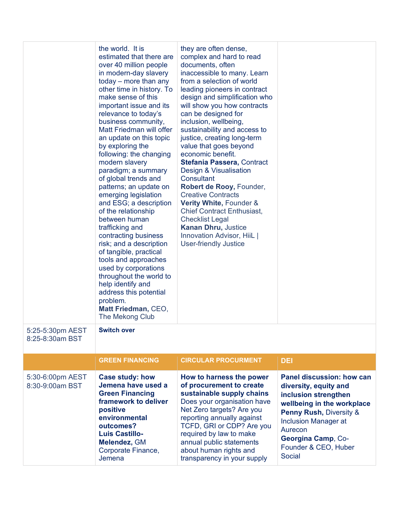| 5:25-5:30pm AEST                    | the world. It is<br>estimated that there are<br>over 40 million people<br>in modern-day slavery<br>$today$ – more than any<br>other time in history. To<br>make sense of this<br>important issue and its<br>relevance to today's<br>business community,<br>Matt Friedman will offer<br>an update on this topic<br>by exploring the<br>following: the changing<br>modern slavery<br>paradigm; a summary<br>of global trends and<br>patterns; an update on<br>emerging legislation<br>and ESG; a description<br>of the relationship<br>between human<br>trafficking and<br>contracting business<br>risk; and a description<br>of tangible, practical<br>tools and approaches<br>used by corporations<br>throughout the world to<br>help identify and<br>address this potential<br>problem.<br>Matt Friedman, CEO,<br><b>The Mekong Club</b><br><b>Switch over</b> | they are often dense,<br>complex and hard to read<br>documents, often<br>inaccessible to many. Learn<br>from a selection of world<br>leading pioneers in contract<br>design and simplification who<br>will show you how contracts<br>can be designed for<br>inclusion, wellbeing,<br>sustainability and access to<br>justice, creating long-term<br>value that goes beyond<br>economic benefit.<br>Stefania Passera, Contract<br>Design & Visualisation<br><b>Consultant</b><br>Robert de Rooy, Founder,<br><b>Creative Contracts</b><br>Verity White, Founder &<br><b>Chief Contract Enthusiast,</b><br><b>Checklist Legal</b><br><b>Kanan Dhru, Justice</b><br>Innovation Advisor, HiiL  <br><b>User-friendly Justice</b> |                                                                                                                                                                                                                                        |
|-------------------------------------|-----------------------------------------------------------------------------------------------------------------------------------------------------------------------------------------------------------------------------------------------------------------------------------------------------------------------------------------------------------------------------------------------------------------------------------------------------------------------------------------------------------------------------------------------------------------------------------------------------------------------------------------------------------------------------------------------------------------------------------------------------------------------------------------------------------------------------------------------------------------|-----------------------------------------------------------------------------------------------------------------------------------------------------------------------------------------------------------------------------------------------------------------------------------------------------------------------------------------------------------------------------------------------------------------------------------------------------------------------------------------------------------------------------------------------------------------------------------------------------------------------------------------------------------------------------------------------------------------------------|----------------------------------------------------------------------------------------------------------------------------------------------------------------------------------------------------------------------------------------|
| 8:25-8:30am BST                     |                                                                                                                                                                                                                                                                                                                                                                                                                                                                                                                                                                                                                                                                                                                                                                                                                                                                 |                                                                                                                                                                                                                                                                                                                                                                                                                                                                                                                                                                                                                                                                                                                             |                                                                                                                                                                                                                                        |
|                                     | <b>GREEN FINANCING</b>                                                                                                                                                                                                                                                                                                                                                                                                                                                                                                                                                                                                                                                                                                                                                                                                                                          | <b>CIRCULAR PROCURMENT</b>                                                                                                                                                                                                                                                                                                                                                                                                                                                                                                                                                                                                                                                                                                  | <b>DEI</b>                                                                                                                                                                                                                             |
| 5:30-6:00pm AEST<br>8:30-9:00am BST | <b>Case study: how</b><br>Jemena have used a<br><b>Green Financing</b><br>framework to deliver<br>positive<br>environmental<br>outcomes?<br><b>Luis Castillo-</b><br>Melendez, GM<br>Corporate Finance,                                                                                                                                                                                                                                                                                                                                                                                                                                                                                                                                                                                                                                                         | How to harness the power<br>of procurement to create<br>sustainable supply chains<br>Does your organisation have<br>Net Zero targets? Are you<br>reporting annually against<br>TCFD, GRI or CDP? Are you<br>required by law to make<br>annual public statements<br>about human rights and                                                                                                                                                                                                                                                                                                                                                                                                                                   | Panel discussion: how can<br>diversity, equity and<br>inclusion strengthen<br>wellbeing in the workplace<br><b>Penny Rush, Diversity &amp;</b><br><b>Inclusion Manager at</b><br>Aurecon<br>Georgina Camp, Co-<br>Founder & CEO, Huber |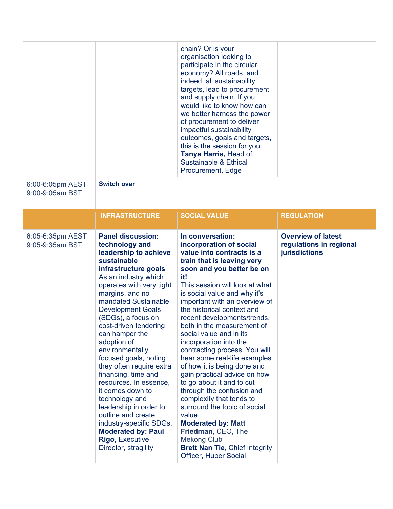|                                     |                                                                                                                                                                                                                                                                                                                                                                                                                                                                                                                                                                                                                                                | chain? Or is your<br>organisation looking to<br>participate in the circular<br>economy? All roads, and<br>indeed, all sustainability<br>targets, lead to procurement<br>and supply chain. If you<br>would like to know how can<br>we better harness the power<br>of procurement to deliver<br>impactful sustainability<br>outcomes, goals and targets,<br>this is the session for you.<br>Tanya Harris, Head of<br><b>Sustainable &amp; Ethical</b><br>Procurement, Edge                                                                                                                                                                                                                                                                                                        |                                                                       |
|-------------------------------------|------------------------------------------------------------------------------------------------------------------------------------------------------------------------------------------------------------------------------------------------------------------------------------------------------------------------------------------------------------------------------------------------------------------------------------------------------------------------------------------------------------------------------------------------------------------------------------------------------------------------------------------------|---------------------------------------------------------------------------------------------------------------------------------------------------------------------------------------------------------------------------------------------------------------------------------------------------------------------------------------------------------------------------------------------------------------------------------------------------------------------------------------------------------------------------------------------------------------------------------------------------------------------------------------------------------------------------------------------------------------------------------------------------------------------------------|-----------------------------------------------------------------------|
| 6:00-6:05pm AEST<br>9:00-9:05am BST | <b>Switch over</b>                                                                                                                                                                                                                                                                                                                                                                                                                                                                                                                                                                                                                             |                                                                                                                                                                                                                                                                                                                                                                                                                                                                                                                                                                                                                                                                                                                                                                                 |                                                                       |
|                                     | <b>INFRASTRUCTURE</b>                                                                                                                                                                                                                                                                                                                                                                                                                                                                                                                                                                                                                          | <b>SOCIAL VALUE</b>                                                                                                                                                                                                                                                                                                                                                                                                                                                                                                                                                                                                                                                                                                                                                             | <b>REGULATION</b>                                                     |
| 6:05-6:35pm AEST<br>9:05-9:35am BST | <b>Panel discussion:</b><br>technology and<br>leadership to achieve<br>sustainable<br>infrastructure goals<br>As an industry which<br>operates with very tight<br>margins, and no<br>mandated Sustainable<br><b>Development Goals</b><br>(SDGs), a focus on<br>cost-driven tendering<br>can hamper the<br>adoption of<br>environmentally<br>focused goals, noting<br>they often require extra<br>financing, time and<br>resources. In essence,<br>it comes down to<br>technology and<br>leadership in order to<br>outline and create<br>industry-specific SDGs.<br><b>Moderated by: Paul</b><br><b>Rigo, Executive</b><br>Director, stragility | In conversation:<br>incorporation of social<br>value into contracts is a<br>train that is leaving very<br>soon and you better be on<br>it!<br>This session will look at what<br>is social value and why it's<br>important with an overview of<br>the historical context and<br>recent developments/trends,<br>both in the measurement of<br>social value and in its<br>incorporation into the<br>contracting process. You will<br>hear some real-life examples<br>of how it is being done and<br>gain practical advice on how<br>to go about it and to cut<br>through the confusion and<br>complexity that tends to<br>surround the topic of social<br>value.<br><b>Moderated by: Matt</b><br>Friedman, CEO, The<br><b>Mekong Club</b><br><b>Brett Nan Tie, Chief Integrity</b> | <b>Overview of latest</b><br>regulations in regional<br>jurisdictions |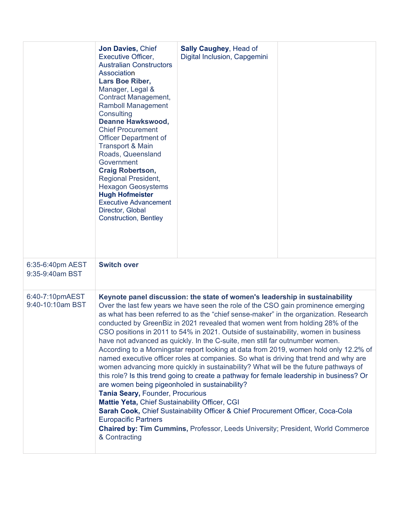|                                     | Jon Davies, Chief<br>Executive Officer,<br><b>Australian Constructors</b><br>Association<br>Lars Boe Riber,<br>Manager, Legal &<br><b>Contract Management,</b><br><b>Ramboll Management</b><br>Consulting<br><b>Deanne Hawkswood,</b><br><b>Chief Procurement</b><br><b>Officer Department of</b><br><b>Transport &amp; Main</b><br>Roads, Queensland<br>Government<br><b>Craig Robertson,</b><br><b>Regional President,</b><br><b>Hexagon Geosystems</b><br><b>Hugh Hofmeister</b><br><b>Executive Advancement</b><br>Director, Global<br><b>Construction, Bentley</b> | <b>Sally Caughey, Head of</b><br>Digital Inclusion, Capgemini                                                                                                                                                                                                                                                                                                                                                                                                                                                                                                                                                                                                                                                                                                                                                                                                                                                                                                                                                                                                       |  |
|-------------------------------------|-------------------------------------------------------------------------------------------------------------------------------------------------------------------------------------------------------------------------------------------------------------------------------------------------------------------------------------------------------------------------------------------------------------------------------------------------------------------------------------------------------------------------------------------------------------------------|---------------------------------------------------------------------------------------------------------------------------------------------------------------------------------------------------------------------------------------------------------------------------------------------------------------------------------------------------------------------------------------------------------------------------------------------------------------------------------------------------------------------------------------------------------------------------------------------------------------------------------------------------------------------------------------------------------------------------------------------------------------------------------------------------------------------------------------------------------------------------------------------------------------------------------------------------------------------------------------------------------------------------------------------------------------------|--|
| 6:35-6:40pm AEST<br>9:35-9:40am BST | <b>Switch over</b>                                                                                                                                                                                                                                                                                                                                                                                                                                                                                                                                                      |                                                                                                                                                                                                                                                                                                                                                                                                                                                                                                                                                                                                                                                                                                                                                                                                                                                                                                                                                                                                                                                                     |  |
| 6:40-7:10pmAEST<br>9:40-10:10am BST | are women being pigeonholed in sustainability?<br>Tania Seary, Founder, Procurious<br>Mattie Yeta, Chief Sustainability Officer, CGI<br><b>Europacific Partners</b><br>& Contracting                                                                                                                                                                                                                                                                                                                                                                                    | Keynote panel discussion: the state of women's leadership in sustainability<br>Over the last few years we have seen the role of the CSO gain prominence emerging<br>as what has been referred to as the "chief sense-maker" in the organization. Research<br>conducted by GreenBiz in 2021 revealed that women went from holding 28% of the<br>CSO positions in 2011 to 54% in 2021. Outside of sustainability, women in business<br>have not advanced as quickly. In the C-suite, men still far outnumber women.<br>According to a Morningstar report looking at data from 2019, women hold only 12.2% of<br>named executive officer roles at companies. So what is driving that trend and why are<br>women advancing more quickly in sustainability? What will be the future pathways of<br>this role? Is this trend going to create a pathway for female leadership in business? Or<br>Sarah Cook, Chief Sustainability Officer & Chief Procurement Officer, Coca-Cola<br><b>Chaired by: Tim Cummins, Professor, Leeds University; President, World Commerce</b> |  |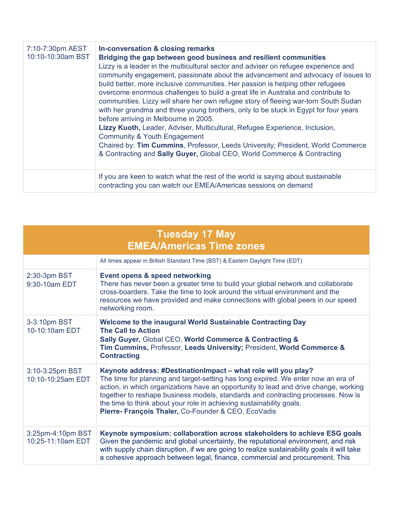| 7:10-7:30pm AEST<br>10:10-10:30am BST | In-conversation & closing remarks<br>Bridging the gap between good business and resilient communities<br>Lizzy is a leader in the multicultural sector and adviser on refugee experience and<br>community engagement, passionate about the advancement and advocacy of issues to<br>build better, more inclusive communities. Her passion is helping other refugees<br>overcome enormous challenges to build a great life in Australia and contribute to<br>communities. Lizzy will share her own refugee story of fleeing war-torn South Sudan<br>with her grandma and three young brothers, only to be stuck in Egypt for four years<br>before arriving in Melbourne in 2005.<br>Lizzy Kuoth, Leader, Adviser, Multicultural, Refugee Experience, Inclusion,<br><b>Community &amp; Youth Engagement</b><br>Chaired by: Tim Cummins, Professor, Leeds University; President, World Commerce<br>& Contracting and Sally Guyer, Global CEO, World Commerce & Contracting |
|---------------------------------------|-------------------------------------------------------------------------------------------------------------------------------------------------------------------------------------------------------------------------------------------------------------------------------------------------------------------------------------------------------------------------------------------------------------------------------------------------------------------------------------------------------------------------------------------------------------------------------------------------------------------------------------------------------------------------------------------------------------------------------------------------------------------------------------------------------------------------------------------------------------------------------------------------------------------------------------------------------------------------|
|                                       | If you are keen to watch what the rest of the world is saying about sustainable<br>contracting you can watch our EMEA/Americas sessions on demand                                                                                                                                                                                                                                                                                                                                                                                                                                                                                                                                                                                                                                                                                                                                                                                                                       |

|                                        | <b>Tuesday 17 May</b><br><b>EMEA/Americas Time zones</b>                                                                                                                                                                                                                                                                                                                                                                                                       |
|----------------------------------------|----------------------------------------------------------------------------------------------------------------------------------------------------------------------------------------------------------------------------------------------------------------------------------------------------------------------------------------------------------------------------------------------------------------------------------------------------------------|
|                                        | All times appear in British Standard Time (BST) & Eastern Daylight Time (EDT)                                                                                                                                                                                                                                                                                                                                                                                  |
| 2:30-3pm BST<br>9:30-10am EDT          | Event opens & speed networking<br>There has never been a greater time to build your global network and collaborate<br>cross-boarders. Take the time to look around the virtual environment and the<br>resources we have provided and make connections with global peers in our speed<br>networking room.                                                                                                                                                       |
| 3-3:10pm BST<br>10-10:10am EDT         | Welcome to the inaugural World Sustainable Contracting Day<br><b>The Call to Action</b><br>Sally Guyer, Global CEO, World Commerce & Contracting &<br>Tim Cummins, Professor, Leeds University; President, World Commerce &<br><b>Contracting</b>                                                                                                                                                                                                              |
| 3:10-3:25pm BST<br>10:10-10:25am EDT   | Keynote address: #DestinationImpact - what role will you play?<br>The time for planning and target-setting has long expired. We enter now an era of<br>action, in which organizations have an opportunity to lead and drive change, working<br>together to reshape business models, standards and contracting processes. Now is<br>the time to think about your role in achieving sustainability goals.<br>Pierre- François Thaler, Co-Founder & CEO, EcoVadis |
| 3:25pm-4:10pm BST<br>10:25-11:10am EDT | Keynote symposium: collaboration across stakeholders to achieve ESG goals<br>Given the pandemic and global uncertainty, the reputational environment, and risk<br>with supply chain disruption, if we are going to realize sustainability goals it will take<br>a cohesive approach between legal, finance, commercial and procurement. This                                                                                                                   |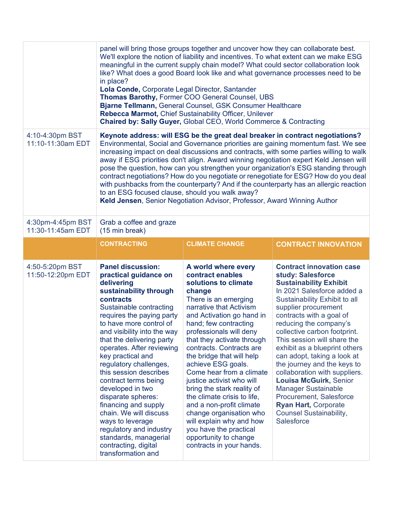|                                        | panel will bring those groups together and uncover how they can collaborate best.<br>We'll explore the notion of liability and incentives. To what extent can we make ESG<br>meaningful in the current supply chain model? What could sector collaboration look<br>like? What does a good Board look like and what governance processes need to be<br>in place?<br>Lola Conde, Corporate Legal Director, Santander<br>Thomas Barothy, Former COO General Counsel, UBS<br>Bjarne Tellmann, General Counsel, GSK Consumer Healthcare<br>Rebecca Marmot, Chief Sustainability Officer, Unilever<br>Chaired by: Sally Guyer, Global CEO, World Commerce & Contracting |                                                                                                                                                                                                                                                                                                                                                                                                                                                                                                                                                                                                                    |                                                                                                                                                                                                                                                                                                                                                                                                                                                                                                                                                                                                                              |
|----------------------------------------|-------------------------------------------------------------------------------------------------------------------------------------------------------------------------------------------------------------------------------------------------------------------------------------------------------------------------------------------------------------------------------------------------------------------------------------------------------------------------------------------------------------------------------------------------------------------------------------------------------------------------------------------------------------------|--------------------------------------------------------------------------------------------------------------------------------------------------------------------------------------------------------------------------------------------------------------------------------------------------------------------------------------------------------------------------------------------------------------------------------------------------------------------------------------------------------------------------------------------------------------------------------------------------------------------|------------------------------------------------------------------------------------------------------------------------------------------------------------------------------------------------------------------------------------------------------------------------------------------------------------------------------------------------------------------------------------------------------------------------------------------------------------------------------------------------------------------------------------------------------------------------------------------------------------------------------|
| 4:10-4:30pm BST<br>11:10-11:30am EDT   | to an ESG focused clause, should you walk away?                                                                                                                                                                                                                                                                                                                                                                                                                                                                                                                                                                                                                   | Keld Jensen, Senior Negotiation Advisor, Professor, Award Winning Author                                                                                                                                                                                                                                                                                                                                                                                                                                                                                                                                           | Keynote address: will ESG be the great deal breaker in contract negotiations?<br>Environmental, Social and Governance priorities are gaining momentum fast. We see<br>increasing impact on deal discussions and contracts, with some parties willing to walk<br>away if ESG priorities don't align. Award winning negotiation expert Keld Jensen will<br>pose the question, how can you strengthen your organization's ESG standing through<br>contract negotiations? How do you negotiate or renegotiate for ESG? How do you deal<br>with pushbacks from the counterparty? And if the counterparty has an allergic reaction |
| 4:30pm-4:45pm BST<br>11:30-11:45am EDT | Grab a coffee and graze<br>(15 min break)                                                                                                                                                                                                                                                                                                                                                                                                                                                                                                                                                                                                                         |                                                                                                                                                                                                                                                                                                                                                                                                                                                                                                                                                                                                                    |                                                                                                                                                                                                                                                                                                                                                                                                                                                                                                                                                                                                                              |
|                                        | <b>CONTRACTING</b>                                                                                                                                                                                                                                                                                                                                                                                                                                                                                                                                                                                                                                                | <b>CLIMATE CHANGE</b>                                                                                                                                                                                                                                                                                                                                                                                                                                                                                                                                                                                              | <b>CONTRACT INNOVATION</b>                                                                                                                                                                                                                                                                                                                                                                                                                                                                                                                                                                                                   |
| 4:50-5:20pm BST<br>11:50-12:20pm EDT   | <b>Panel discussion:</b><br>practical guidance on<br>delivering<br>sustainability through<br>contracts<br>Sustainable contracting<br>requires the paying party<br>to have more control of<br>and visibility into the way<br>that the delivering party<br>operates. After reviewing<br>key practical and<br>regulatory challenges,<br>this session describes<br>contract terms being<br>developed in two<br>disparate spheres:<br>financing and supply<br>chain. We will discuss<br>ways to leverage<br>regulatory and industry<br>standards, managerial<br>contracting, digital<br>transformation and                                                             | A world where every<br>contract enables<br>solutions to climate<br>change<br>There is an emerging<br>narrative that Activism<br>and Activation go hand in<br>hand; few contracting<br>professionals will deny<br>that they activate through<br>contracts. Contracts are<br>the bridge that will help<br>achieve ESG goals.<br>Come hear from a climate<br>justice activist who will<br>bring the stark reality of<br>the climate crisis to life,<br>and a non-profit climate<br>change organisation who<br>will explain why and how<br>you have the practical<br>opportunity to change<br>contracts in your hands. | <b>Contract innovation case</b><br>study: Salesforce<br><b>Sustainability Exhibit</b><br>In 2021 Salesforce added a<br>Sustainability Exhibit to all<br>supplier procurement<br>contracts with a goal of<br>reducing the company's<br>collective carbon footprint.<br>This session will share the<br>exhibit as a blueprint others<br>can adopt, taking a look at<br>the journey and the keys to<br>collaboration with suppliers.<br><b>Louisa McGuirk, Senior</b><br><b>Manager Sustainable</b><br>Procurement, Salesforce<br><b>Ryan Hart, Corporate</b><br><b>Counsel Sustainability,</b><br><b>Salesforce</b>            |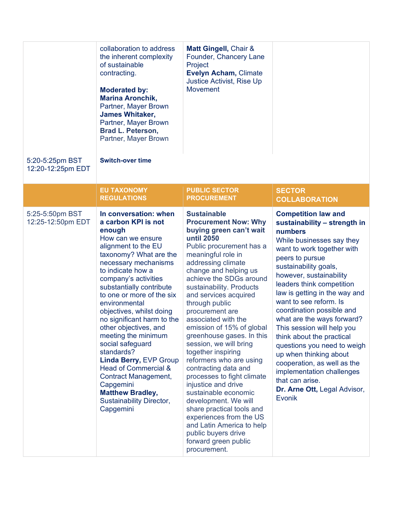|                                      | collaboration to address<br>the inherent complexity<br>of sustainable<br>contracting.<br><b>Moderated by:</b><br><b>Marina Aronchik,</b><br>Partner, Mayer Brown<br><b>James Whitaker,</b><br>Partner, Mayer Brown<br><b>Brad L. Peterson,</b><br>Partner, Mayer Brown                                                                                                                                                                                                                                                                                                                           | Matt Gingell, Chair &<br>Founder, Chancery Lane<br>Project<br><b>Evelyn Acham, Climate</b><br>Justice Activist, Rise Up<br><b>Movement</b>                                                                                                                                                                                                                                                                                                                                                                                                                                                                                                                                                                                                                           |                                                                                                                                                                                                                                                                                                                                                                                                                                                                                                                                                                                                                |
|--------------------------------------|--------------------------------------------------------------------------------------------------------------------------------------------------------------------------------------------------------------------------------------------------------------------------------------------------------------------------------------------------------------------------------------------------------------------------------------------------------------------------------------------------------------------------------------------------------------------------------------------------|----------------------------------------------------------------------------------------------------------------------------------------------------------------------------------------------------------------------------------------------------------------------------------------------------------------------------------------------------------------------------------------------------------------------------------------------------------------------------------------------------------------------------------------------------------------------------------------------------------------------------------------------------------------------------------------------------------------------------------------------------------------------|----------------------------------------------------------------------------------------------------------------------------------------------------------------------------------------------------------------------------------------------------------------------------------------------------------------------------------------------------------------------------------------------------------------------------------------------------------------------------------------------------------------------------------------------------------------------------------------------------------------|
| 5:20-5:25pm BST<br>12:20-12:25pm EDT | <b>Switch-over time</b>                                                                                                                                                                                                                                                                                                                                                                                                                                                                                                                                                                          |                                                                                                                                                                                                                                                                                                                                                                                                                                                                                                                                                                                                                                                                                                                                                                      |                                                                                                                                                                                                                                                                                                                                                                                                                                                                                                                                                                                                                |
|                                      | <b>EU TAXONOMY</b><br><b>REGULATIONS</b>                                                                                                                                                                                                                                                                                                                                                                                                                                                                                                                                                         | <b>PUBLIC SECTOR</b><br><b>PROCUREMENT</b>                                                                                                                                                                                                                                                                                                                                                                                                                                                                                                                                                                                                                                                                                                                           | <b>SECTOR</b><br><b>COLLABORATION</b>                                                                                                                                                                                                                                                                                                                                                                                                                                                                                                                                                                          |
| 5:25-5:50pm BST<br>12:25-12:50pm EDT | In conversation: when<br>a carbon KPI is not<br>enough<br>How can we ensure<br>alignment to the EU<br>taxonomy? What are the<br>necessary mechanisms<br>to indicate how a<br>company's activities<br>substantially contribute<br>to one or more of the six<br>environmental<br>objectives, whilst doing<br>no significant harm to the<br>other objectives, and<br>meeting the minimum<br>social safeguard<br>standards?<br>Linda Berry, EVP Group<br>Head of Commercial &<br><b>Contract Management,</b><br>Capgemini<br><b>Matthew Bradley,</b><br><b>Sustainability Director,</b><br>Capgemini | <b>Sustainable</b><br><b>Procurement Now: Why</b><br>buying green can't wait<br><b>until 2050</b><br>Public procurement has a<br>meaningful role in<br>addressing climate<br>change and helping us<br>achieve the SDGs around<br>sustainability. Products<br>and services acquired<br>through public<br>procurement are<br>associated with the<br>emission of 15% of global<br>greenhouse gases. In this<br>session, we will bring<br>together inspiring<br>reformers who are using<br>contracting data and<br>processes to fight climate<br>injustice and drive<br>sustainable economic<br>development. We will<br>share practical tools and<br>experiences from the US<br>and Latin America to help<br>public buyers drive<br>forward green public<br>procurement. | <b>Competition law and</b><br>sustainability - strength in<br>numbers<br>While businesses say they<br>want to work together with<br>peers to pursue<br>sustainability goals,<br>however, sustainability<br>leaders think competition<br>law is getting in the way and<br>want to see reform. Is<br>coordination possible and<br>what are the ways forward?<br>This session will help you<br>think about the practical<br>questions you need to weigh<br>up when thinking about<br>cooperation, as well as the<br>implementation challenges<br>that can arise.<br>Dr. Arne Ott, Legal Advisor,<br><b>Evonik</b> |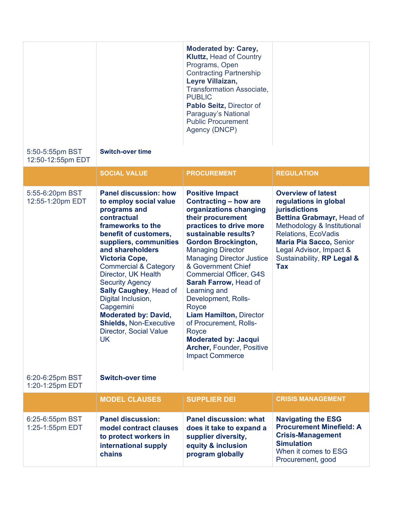|                                      |                                                                                                                                                                                                                                                                                                                                                                                                                                                                            | <b>Moderated by: Carey,</b><br><b>Kluttz, Head of Country</b><br>Programs, Open<br><b>Contracting Partnership</b><br>Leyre Villaizan,<br><b>Transformation Associate,</b><br><b>PUBLIC</b><br>Pablo Seitz, Director of<br>Paraguay's National<br><b>Public Procurement</b><br>Agency (DNCP)                                                                                                                                                                                                                                                               |                                                                                                                                                                                                                                                                 |
|--------------------------------------|----------------------------------------------------------------------------------------------------------------------------------------------------------------------------------------------------------------------------------------------------------------------------------------------------------------------------------------------------------------------------------------------------------------------------------------------------------------------------|-----------------------------------------------------------------------------------------------------------------------------------------------------------------------------------------------------------------------------------------------------------------------------------------------------------------------------------------------------------------------------------------------------------------------------------------------------------------------------------------------------------------------------------------------------------|-----------------------------------------------------------------------------------------------------------------------------------------------------------------------------------------------------------------------------------------------------------------|
| 5:50-5:55pm BST<br>12:50-12:55pm EDT | <b>Switch-over time</b>                                                                                                                                                                                                                                                                                                                                                                                                                                                    |                                                                                                                                                                                                                                                                                                                                                                                                                                                                                                                                                           |                                                                                                                                                                                                                                                                 |
|                                      | <b>SOCIAL VALUE</b>                                                                                                                                                                                                                                                                                                                                                                                                                                                        | <b>PROCUREMENT</b>                                                                                                                                                                                                                                                                                                                                                                                                                                                                                                                                        | <b>REGULATION</b>                                                                                                                                                                                                                                               |
| 5:55-6:20pm BST<br>12:55-1:20pm EDT  | <b>Panel discussion: how</b><br>to employ social value<br>programs and<br>contractual<br>frameworks to the<br>benefit of customers,<br>suppliers, communities<br>and shareholders<br><b>Victoria Cope,</b><br><b>Commercial &amp; Category</b><br>Director, UK Health<br><b>Security Agency</b><br><b>Sally Caughey, Head of</b><br>Digital Inclusion,<br>Capgemini<br><b>Moderated by: David,</b><br><b>Shields, Non-Executive</b><br>Director, Social Value<br><b>UK</b> | <b>Positive Impact</b><br><b>Contracting - how are</b><br>organizations changing<br>their procurement<br>practices to drive more<br>sustainable results?<br><b>Gordon Brockington,</b><br><b>Managing Director</b><br><b>Managing Director Justice</b><br>& Government Chief<br><b>Commercial Officer, G4S</b><br>Sarah Farrow, Head of<br>Learning and<br>Development, Rolls-<br>Royce<br><b>Liam Hamilton, Director</b><br>of Procurement, Rolls-<br>Royce<br><b>Moderated by: Jacqui</b><br><b>Archer, Founder, Positive</b><br><b>Impact Commerce</b> | <b>Overview of latest</b><br>regulations in global<br>jurisdictions<br>Bettina Grabmayr, Head of<br>Methodology & Institutional<br>Relations, EcoVadis<br><b>Maria Pia Sacco, Senior</b><br>Legal Advisor, Impact &<br>Sustainability, RP Legal &<br><b>Tax</b> |
| 6:20-6:25pm BST<br>1:20-1:25pm EDT   | <b>Switch-over time</b>                                                                                                                                                                                                                                                                                                                                                                                                                                                    |                                                                                                                                                                                                                                                                                                                                                                                                                                                                                                                                                           |                                                                                                                                                                                                                                                                 |
|                                      | <b>MODEL CLAUSES</b>                                                                                                                                                                                                                                                                                                                                                                                                                                                       | <b>SUPPLIER DEI</b>                                                                                                                                                                                                                                                                                                                                                                                                                                                                                                                                       | <b>CRISIS MANAGEMENT</b>                                                                                                                                                                                                                                        |
| 6:25-6:55pm BST<br>1:25-1:55pm EDT   | <b>Panel discussion:</b><br>model contract clauses<br>to protect workers in<br>international supply<br>chains                                                                                                                                                                                                                                                                                                                                                              | <b>Panel discussion: what</b><br>does it take to expand a<br>supplier diversity,<br>equity & inclusion<br>program globally                                                                                                                                                                                                                                                                                                                                                                                                                                | <b>Navigating the ESG</b><br><b>Procurement Minefield: A</b><br><b>Crisis-Management</b><br><b>Simulation</b><br>When it comes to ESG<br>Procurement, good                                                                                                      |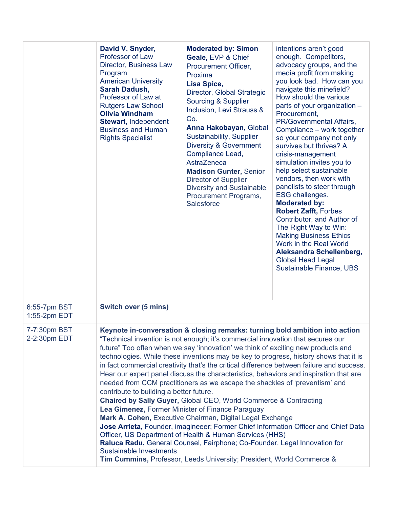|                              | David V. Snyder,<br><b>Professor of Law</b><br>Director, Business Law<br>Program<br><b>American University</b><br>Sarah Dadush,<br>Professor of Law at<br><b>Rutgers Law School</b><br><b>Olivia Windham</b><br><b>Stewart, Independent</b><br><b>Business and Human</b><br><b>Rights Specialist</b>                                                                                                                                                                                                                                                                                                                                                                                                                                                                                                                                                                                                                                                                                                                                                                                                                                                                                       | <b>Moderated by: Simon</b><br>Geale, EVP & Chief<br>Procurement Officer,<br>Proxima<br>Lisa Spice,<br>Director, Global Strategic<br>Sourcing & Supplier<br>Inclusion, Levi Strauss &<br>Co.<br>Anna Hakobayan, Global<br>Sustainability, Supplier<br><b>Diversity &amp; Government</b><br>Compliance Lead,<br>AstraZeneca<br><b>Madison Gunter, Senior</b><br><b>Director of Supplier</b><br><b>Diversity and Sustainable</b><br>Procurement Programs,<br>Salesforce | intentions aren't good<br>enough. Competitors,<br>advocacy groups, and the<br>media profit from making<br>you look bad. How can you<br>navigate this minefield?<br>How should the various<br>parts of your organization -<br>Procurement,<br>PR/Governmental Affairs,<br>Compliance – work together<br>so your company not only<br>survives but thrives? A<br>crisis-management<br>simulation invites you to<br>help select sustainable<br>vendors, then work with<br>panelists to steer through<br><b>ESG challenges.</b><br><b>Moderated by:</b><br><b>Robert Zafft, Forbes</b><br>Contributor, and Author of<br>The Right Way to Win:<br><b>Making Business Ethics</b><br>Work in the Real World<br>Aleksandra Schellenberg,<br><b>Global Head Legal</b><br>Sustainable Finance, UBS |
|------------------------------|--------------------------------------------------------------------------------------------------------------------------------------------------------------------------------------------------------------------------------------------------------------------------------------------------------------------------------------------------------------------------------------------------------------------------------------------------------------------------------------------------------------------------------------------------------------------------------------------------------------------------------------------------------------------------------------------------------------------------------------------------------------------------------------------------------------------------------------------------------------------------------------------------------------------------------------------------------------------------------------------------------------------------------------------------------------------------------------------------------------------------------------------------------------------------------------------|----------------------------------------------------------------------------------------------------------------------------------------------------------------------------------------------------------------------------------------------------------------------------------------------------------------------------------------------------------------------------------------------------------------------------------------------------------------------|-----------------------------------------------------------------------------------------------------------------------------------------------------------------------------------------------------------------------------------------------------------------------------------------------------------------------------------------------------------------------------------------------------------------------------------------------------------------------------------------------------------------------------------------------------------------------------------------------------------------------------------------------------------------------------------------------------------------------------------------------------------------------------------------|
| 6:55-7pm BST<br>1:55-2pm EDT | <b>Switch over (5 mins)</b>                                                                                                                                                                                                                                                                                                                                                                                                                                                                                                                                                                                                                                                                                                                                                                                                                                                                                                                                                                                                                                                                                                                                                                |                                                                                                                                                                                                                                                                                                                                                                                                                                                                      |                                                                                                                                                                                                                                                                                                                                                                                                                                                                                                                                                                                                                                                                                                                                                                                         |
| 7-7:30pm BST<br>2-2:30pm EDT | Keynote in-conversation & closing remarks: turning bold ambition into action<br>"Technical invention is not enough; it's commercial innovation that secures our<br>future" Too often when we say 'innovation' we think of exciting new products and<br>technologies. While these inventions may be key to progress, history shows that it is<br>in fact commercial creativity that's the critical difference between failure and success.<br>Hear our expert panel discuss the characteristics, behaviors and inspiration that are<br>needed from CCM practitioners as we escape the shackles of 'preventism' and<br>contribute to building a better future.<br>Chaired by Sally Guyer, Global CEO, World Commerce & Contracting<br>Lea Gimenez, Former Minister of Finance Paraguay<br>Mark A. Cohen, Executive Chairman, Digital Legal Exchange<br>Jose Arrieta, Founder, imagineeer; Former Chief Information Officer and Chief Data<br>Officer, US Department of Health & Human Services (HHS)<br>Raluca Radu, General Counsel, Fairphone; Co-Founder, Legal Innovation for<br><b>Sustainable Investments</b><br>Tim Cummins, Professor, Leeds University; President, World Commerce & |                                                                                                                                                                                                                                                                                                                                                                                                                                                                      |                                                                                                                                                                                                                                                                                                                                                                                                                                                                                                                                                                                                                                                                                                                                                                                         |